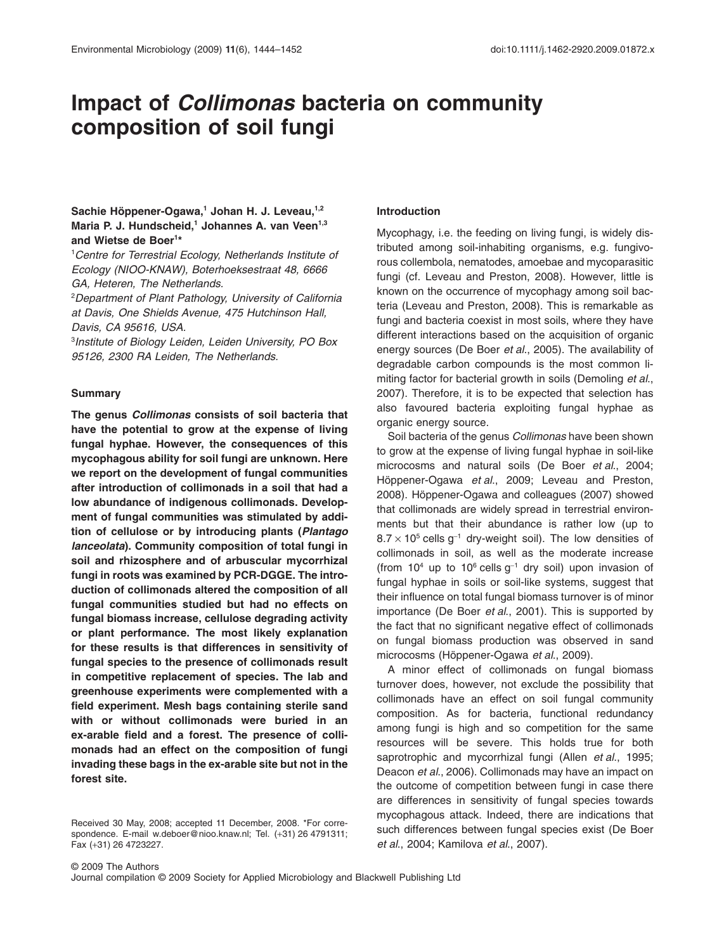# **Impact of** *Collimonas* **bacteria on community** composition of soil fungi

# Sachie Höppener-Ogawa,<sup>1</sup> Johan H. J. Leveau,<sup>1,2</sup> Maria P. J. Hundscheid,<sup>1</sup> Johannes A. van Veen<sup>1,3</sup> **and Wietse de Boer1 \***

1 *Centre for Terrestrial Ecology, Netherlands Institute of Ecology (NIOO-KNAW), Boterhoeksestraat 48, 6666 GA, Heteren, The Netherlands.*

2 *Department of Plant Pathology, University of California at Davis, One Shields Avenue, 475 Hutchinson Hall, Davis, CA 95616, USA.*

3 *Institute of Biology Leiden, Leiden University, PO Box 95126, 2300 RA Leiden, The Netherlands.*

# **Summary**

**The genus** *Collimonas* **consists of soil bacteria that have the potential to grow at the expense of living fungal hyphae. However, the consequences of this mycophagous ability for soil fungi are unknown. Here we report on the development of fungal communities after introduction of collimonads in a soil that had a low abundance of indigenous collimonads. Development of fungal communities was stimulated by addition of cellulose or by introducing plants (***Plantago lanceolata***). Community composition of total fungi in soil and rhizosphere and of arbuscular mycorrhizal fungi in roots was examined by PCR-DGGE. The introduction of collimonads altered the composition of all fungal communities studied but had no effects on fungal biomass increase, cellulose degrading activity or plant performance. The most likely explanation for these results is that differences in sensitivity of fungal species to the presence of collimonads result in competitive replacement of species. The lab and greenhouse experiments were complemented with a field experiment. Mesh bags containing sterile sand with or without collimonads were buried in an ex-arable field and a forest. The presence of collimonads had an effect on the composition of fungi invading these bags in the ex-arable site but not in the forest site.**

## **Introduction**

Mycophagy, i.e. the feeding on living fungi, is widely distributed among soil-inhabiting organisms, e.g. fungivorous collembola, nematodes, amoebae and mycoparasitic fungi (cf. Leveau and Preston, 2008). However, little is known on the occurrence of mycophagy among soil bacteria (Leveau and Preston, 2008). This is remarkable as fungi and bacteria coexist in most soils, where they have different interactions based on the acquisition of organic energy sources (De Boer *et al*., 2005). The availability of degradable carbon compounds is the most common limiting factor for bacterial growth in soils (Demoling *et al*., 2007). Therefore, it is to be expected that selection has also favoured bacteria exploiting fungal hyphae as organic energy source.

Soil bacteria of the genus *Collimonas* have been shown to grow at the expense of living fungal hyphae in soil-like microcosms and natural soils (De Boer *et al*., 2004; Höppener-Ogawa *et al*., 2009; Leveau and Preston, 2008). Höppener-Ogawa and colleagues (2007) showed that collimonads are widely spread in terrestrial environments but that their abundance is rather low (up to  $8.7 \times 10^5$  cells g<sup>-1</sup> dry-weight soil). The low densities of collimonads in soil, as well as the moderate increase (from  $10^4$  up to  $10^6$  cells  $g^{-1}$  dry soil) upon invasion of fungal hyphae in soils or soil-like systems, suggest that their influence on total fungal biomass turnover is of minor importance (De Boer *et al*., 2001). This is supported by the fact that no significant negative effect of collimonads on fungal biomass production was observed in sand microcosms (Höppener-Ogawa *et al*., 2009).

A minor effect of collimonads on fungal biomass turnover does, however, not exclude the possibility that collimonads have an effect on soil fungal community composition. As for bacteria, functional redundancy among fungi is high and so competition for the same resources will be severe. This holds true for both saprotrophic and mycorrhizal fungi (Allen *et al*., 1995; Deacon *et al*., 2006). Collimonads may have an impact on the outcome of competition between fungi in case there are differences in sensitivity of fungal species towards mycophagous attack. Indeed, there are indications that such differences between fungal species exist (De Boer *et al*., 2004; Kamilova *et al*., 2007).

Journal compilation © 2009 Society for Applied Microbiology and Blackwell Publishing Ltd

Received 30 May, 2008; accepted 11 December, 2008. \*For correspondence. E-mail [w.deboer@nioo.knaw.nl;](mailto:w.deboer@nioo.knaw.nl) Tel. (+31) 26 4791311; Fax (+31) 26 4723227.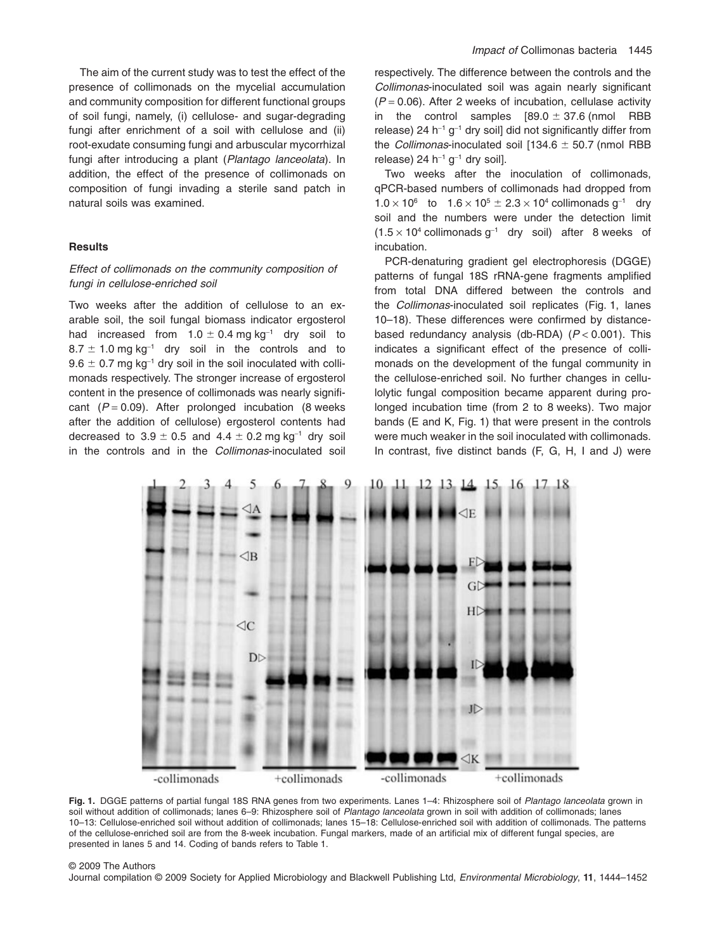The aim of the current study was to test the effect of the presence of collimonads on the mycelial accumulation and community composition for different functional groups of soil fungi, namely, (i) cellulose- and sugar-degrading fungi after enrichment of a soil with cellulose and (ii) root-exudate consuming fungi and arbuscular mycorrhizal fungi after introducing a plant (*Plantago lanceolata*). In addition, the effect of the presence of collimonads on composition of fungi invading a sterile sand patch in natural soils was examined.

# **Results**

# *Effect of collimonads on the community composition of fungi in cellulose-enriched soil*

Two weeks after the addition of cellulose to an exarable soil, the soil fungal biomass indicator ergosterol had increased from 1.0  $\pm$  0.4 mg.kg $^{-1}$  dry soil to  $8.7 \pm 1.0$  mg kg $^{-1}$  dry soil in the controls and to 9.6  $\pm$  0.7 mg kg $^{-1}$  dry soil in the soil inoculated with collimonads respectively. The stronger increase of ergosterol content in the presence of collimonads was nearly significant  $(P = 0.09)$ . After prolonged incubation (8 weeks after the addition of cellulose) ergosterol contents had decreased to 3.9  $\pm$  0.5 and 4.4  $\pm$  0.2 mg kg $^{-1}$  dry soil in the controls and in the *Collimonas*-inoculated soil respectively. The difference between the controls and the *Collimonas*-inoculated soil was again nearly significant  $(P = 0.06)$ . After 2 weeks of incubation, cellulase activity in the control samples  $[89.0 \pm 37.6$  (nmol RBB release) 24 h<sup>-1</sup>  $q^{-1}$  dry soil] did not significantly differ from the *Collimonas*-inoculated soil  $[134.6 \pm 50.7$  (nmol RBB release) 24  $h^{-1}$  g<sup>-1</sup> dry soil].

Two weeks after the inoculation of collimonads, qPCR-based numbers of collimonads had dropped from  $1.0 \times 10^6$  to  $1.6 \times 10^5 \pm 2.3 \times 10^4$  collimonads g<sup>-1</sup> dry soil and the numbers were under the detection limit  $(1.5 \times 10^4 \text{ collimonads g}^{-1}$  dry soil) after 8 weeks of incubation.

PCR-denaturing gradient gel electrophoresis (DGGE) patterns of fungal 18S rRNA-gene fragments amplified from total DNA differed between the controls and the *Collimonas*-inoculated soil replicates (Fig. 1, lanes 10–18). These differences were confirmed by distancebased redundancy analysis (db-RDA) (*P* < 0.001). This indicates a significant effect of the presence of collimonads on the development of the fungal community in the cellulose-enriched soil. No further changes in cellulolytic fungal composition became apparent during prolonged incubation time (from 2 to 8 weeks). Two major bands (E and K, Fig. 1) that were present in the controls were much weaker in the soil inoculated with collimonads. In contrast, five distinct bands (F, G, H, I and J) were



**Fig. 1.** DGGE patterns of partial fungal 18S RNA genes from two experiments. Lanes 1–4: Rhizosphere soil of *Plantago lanceolata* grown in soil without addition of collimonads; lanes 6–9: Rhizosphere soil of *Plantago lanceolata* grown in soil with addition of collimonads; lanes 10–13: Cellulose-enriched soil without addition of collimonads; lanes 15–18: Cellulose-enriched soil with addition of collimonads. The patterns of the cellulose-enriched soil are from the 8-week incubation. Fungal markers, made of an artificial mix of different fungal species, are presented in lanes 5 and 14. Coding of bands refers to Table 1.

#### © 2009 The Authors

Journal compilation © 2009 Society for Applied Microbiology and Blackwell Publishing Ltd, *Environmental Microbiology*, **11**, 1444–1452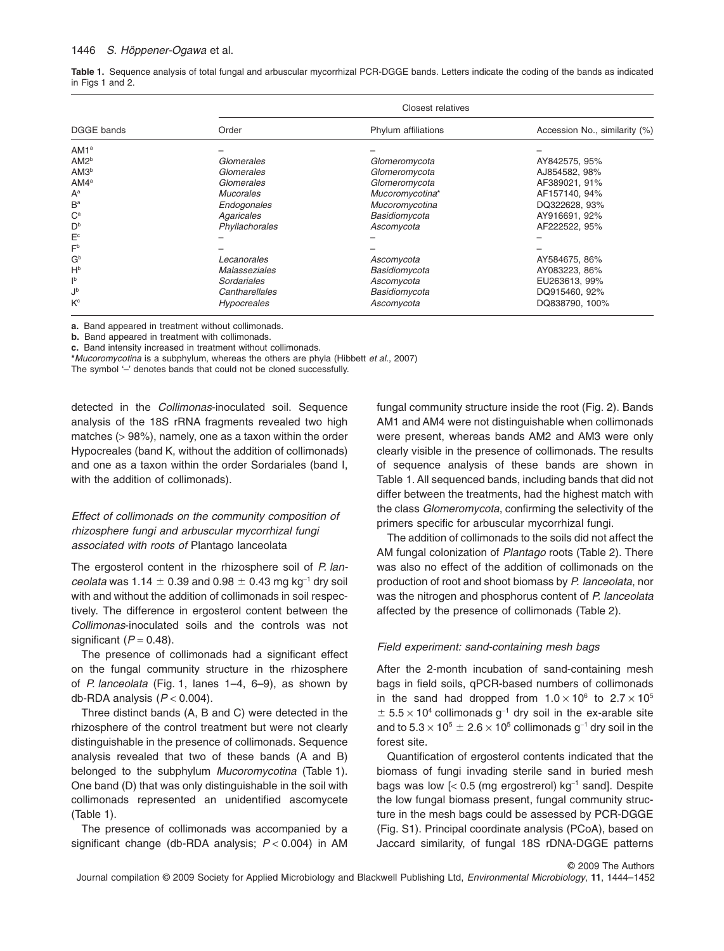#### 1446 *S. Höppener-Ogawa* et al.

**Table 1.** Sequence analysis of total fungal and arbuscular mycorrhizal PCR-DGGE bands. Letters indicate the coding of the bands as indicated in Figs 1 and 2.

|                  | <b>Closest relatives</b> |                     |                               |  |  |  |  |
|------------------|--------------------------|---------------------|-------------------------------|--|--|--|--|
| DGGE bands       | Order                    | Phylum affiliations | Accession No., similarity (%) |  |  |  |  |
| AM1 <sup>a</sup> |                          |                     |                               |  |  |  |  |
| AM2 <sup>b</sup> | Glomerales               | Glomeromycota       | AY842575, 95%                 |  |  |  |  |
| AM3 <sup>b</sup> | Glomerales               | Glomeromycota       | AJ854582, 98%                 |  |  |  |  |
| $AM4^a$          | Glomerales               | Glomeromycota       | AF389021, 91%                 |  |  |  |  |
| $A^a$            | Mucorales                | Mucoromycotina*     | AF157140, 94%                 |  |  |  |  |
| $B^a$            | Endogonales              | Mucoromycotina      | DQ322628, 93%                 |  |  |  |  |
| $C^a$            | Agaricales               | Basidiomycota       | AY916691, 92%                 |  |  |  |  |
| D <sup>b</sup>   | Phyllachorales           | Ascomycota          | AF222522, 95%                 |  |  |  |  |
| $E^c$            |                          |                     |                               |  |  |  |  |
| F <sub>p</sub>   |                          |                     |                               |  |  |  |  |
| $G^b$            | Lecanorales              | Ascomycota          | AY584675, 86%                 |  |  |  |  |
| $H^b$            | Malasseziales            | Basidiomycota       | AY083223, 86%                 |  |  |  |  |
| ١þ               | Sordariales              | Ascomycota          | EU263613, 99%                 |  |  |  |  |
| Jb               | Cantharellales           | Basidiomycota       | DQ915460, 92%                 |  |  |  |  |
| Kc               | <b>Hypocreales</b>       | Ascomycota          | DQ838790, 100%                |  |  |  |  |

**a.** Band appeared in treatment without collimonads.

**b.** Band appeared in treatment with collimonads.

**c.** Band intensity increased in treatment without collimonads.

**\****Mucoromycotina* is a subphylum, whereas the others are phyla (Hibbett *et al*., 2007)

The symbol '-' denotes bands that could not be cloned successfully.

detected in the *Collimonas*-inoculated soil. Sequence analysis of the 18S rRNA fragments revealed two high matches (> 98%), namely, one as a taxon within the order Hypocreales (band K, without the addition of collimonads) and one as a taxon within the order Sordariales (band I, with the addition of collimonads).

# *Effect of collimonads on the community composition of rhizosphere fungi and arbuscular mycorrhizal fungi associated with roots of* Plantago lanceolata

The ergosterol content in the rhizosphere soil of *P. lan-* $\emph{ceolata}$  was 1.14  $\pm$  0.39 and 0.98  $\pm$  0.43 mg kg<sup>-1</sup> dry soil with and without the addition of collimonads in soil respectively. The difference in ergosterol content between the *Collimonas*-inoculated soils and the controls was not significant  $(P = 0.48)$ .

The presence of collimonads had a significant effect on the fungal community structure in the rhizosphere of *P. lanceolata* (Fig. 1, lanes 1–4, 6–9), as shown by db-RDA analysis (*P* < 0.004).

Three distinct bands (A, B and C) were detected in the rhizosphere of the control treatment but were not clearly distinguishable in the presence of collimonads. Sequence analysis revealed that two of these bands (A and B) belonged to the subphylum *Mucoromycotina* (Table 1). One band (D) that was only distinguishable in the soil with collimonads represented an unidentified ascomycete (Table 1).

The presence of collimonads was accompanied by a significant change (db-RDA analysis; *P* < 0.004) in AM fungal community structure inside the root (Fig. 2). Bands AM1 and AM4 were not distinguishable when collimonads were present, whereas bands AM2 and AM3 were only clearly visible in the presence of collimonads. The results of sequence analysis of these bands are shown in Table 1. All sequenced bands, including bands that did not differ between the treatments, had the highest match with the class *Glomeromycota*, confirming the selectivity of the primers specific for arbuscular mycorrhizal fungi.

The addition of collimonads to the soils did not affect the AM fungal colonization of *Plantago* roots (Table 2). There was also no effect of the addition of collimonads on the production of root and shoot biomass by *P. lanceolata*, nor was the nitrogen and phosphorus content of *P. lanceolata* affected by the presence of collimonads (Table 2).

# *Field experiment: sand-containing mesh bags*

After the 2-month incubation of sand-containing mesh bags in field soils, qPCR-based numbers of collimonads in the sand had dropped from  $1.0 \times 10^6$  to  $2.7 \times 10^5$  $\pm$  5.5  $\times$  10<sup>4</sup> collimonads g<sup>-1</sup> dry soil in the ex-arable site and to 5.3  $\times$  10 $^5$   $\pm$  2.6  $\times$  10 $^5$  collimonads g $^{-1}$  dry soil in the forest site.

Quantification of ergosterol contents indicated that the biomass of fungi invading sterile sand in buried mesh bags was low  $\left[$  < 0.5 (mg ergostrerol) kg<sup>-1</sup> sand]. Despite the low fungal biomass present, fungal community structure in the mesh bags could be assessed by PCR-DGGE (Fig. S1). Principal coordinate analysis (PCoA), based on Jaccard similarity, of fungal 18S rDNA-DGGE patterns

© 2009 The Authors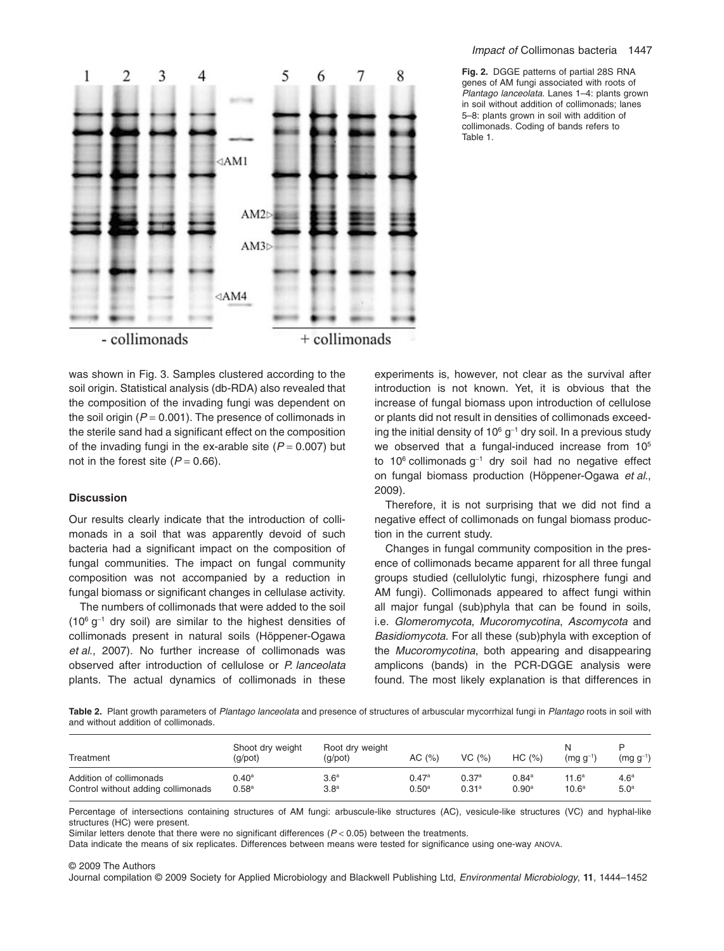#### *Impact of* Collimonas bacteria 1447

**Fig. 2.** DGGE patterns of partial 28S RNA genes of AM fungi associated with roots of *Plantago lanceolata*. Lanes 1–4: plants grown in soil without addition of collimonads; lanes 5–8: plants grown in soil with addition of collimonads. Coding of bands refers to Table 1.



was shown in Fig. 3. Samples clustered according to the soil origin. Statistical analysis (db-RDA) also revealed that the composition of the invading fungi was dependent on the soil origin  $(P = 0.001)$ . The presence of collimonads in the sterile sand had a significant effect on the composition of the invading fungi in the ex-arable site  $(P = 0.007)$  but not in the forest site  $(P = 0.66)$ .

# **Discussion**

Our results clearly indicate that the introduction of collimonads in a soil that was apparently devoid of such bacteria had a significant impact on the composition of fungal communities. The impact on fungal community composition was not accompanied by a reduction in fungal biomass or significant changes in cellulase activity.

The numbers of collimonads that were added to the soil  $(10^6 \text{ g}^{-1}$  dry soil) are similar to the highest densities of collimonads present in natural soils (Höppener-Ogawa *et al*., 2007). No further increase of collimonads was observed after introduction of cellulose or *P. lanceolata* plants. The actual dynamics of collimonads in these experiments is, however, not clear as the survival after introduction is not known. Yet, it is obvious that the increase of fungal biomass upon introduction of cellulose or plants did not result in densities of collimonads exceeding the initial density of  $10^6$  g<sup>-1</sup> dry soil. In a previous study we observed that a fungal-induced increase from 10<sup>5</sup> to  $10^6$  collimonads  $g^{-1}$  dry soil had no negative effect on fungal biomass production (Höppener-Ogawa *et al*., 2009).

Therefore, it is not surprising that we did not find a negative effect of collimonads on fungal biomass production in the current study.

Changes in fungal community composition in the presence of collimonads became apparent for all three fungal groups studied (cellulolytic fungi, rhizosphere fungi and AM fungi). Collimonads appeared to affect fungi within all major fungal (sub)phyla that can be found in soils, i.e. *Glomeromycota*, *Mucoromycotina*, *Ascomycota* and *Basidiomycota*. For all these (sub)phyla with exception of the *Mucoromycotina*, both appearing and disappearing amplicons (bands) in the PCR-DGGE analysis were found. The most likely explanation is that differences in

**Table 2.** Plant growth parameters of *Plantago lanceolata* and presence of structures of arbuscular mycorrhizal fungi in *Plantago* roots in soil with and without addition of collimonads.

| Treatment                          | Shoot dry weight<br>(g/pot) | Root dry weight<br>$(q$ /pot $)$ | AC $(%)$          | VC(%)             | HC (%)            | N<br>$(mq q^{-1})$ | $(mg g^{-1})$    |
|------------------------------------|-----------------------------|----------------------------------|-------------------|-------------------|-------------------|--------------------|------------------|
| Addition of collimonads            | $0.40^{\rm a}$              | $3.6^{\rm a}$                    | 0.47a             | 0.37a             | 0.84a             | 11.6 <sup>a</sup>  | 4.6 <sup>a</sup> |
| Control without adding collimonads | 0.58 <sup>a</sup>           | 3.8 <sup>a</sup>                 | 0.50 <sup>a</sup> | 0.31 <sup>a</sup> | 0.90 <sup>a</sup> | 10.6 <sup>a</sup>  | 5.0 <sup>a</sup> |

Percentage of intersections containing structures of AM fungi: arbuscule-like structures (AC), vesicule-like structures (VC) and hyphal-like structures (HC) were present.

Similar letters denote that there were no significant differences (*P* < 0.05) between the treatments.

Data indicate the means of six replicates. Differences between means were tested for significance using one-way ANOVA.

#### © 2009 The Authors

Journal compilation © 2009 Society for Applied Microbiology and Blackwell Publishing Ltd, *Environmental Microbiology*, **11**, 1444–1452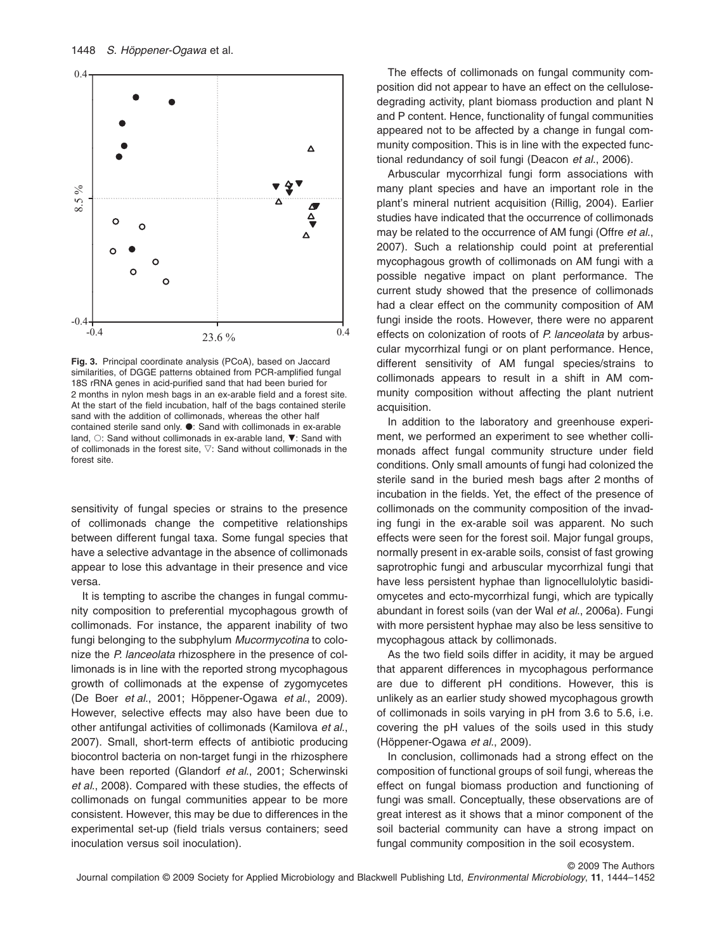

**Fig. 3.** Principal coordinate analysis (PCoA), based on Jaccard similarities, of DGGE patterns obtained from PCR-amplified fungal 18S rRNA genes in acid-purified sand that had been buried for 2 months in nylon mesh bags in an ex-arable field and a forest site. At the start of the field incubation, half of the bags contained sterile sand with the addition of collimonads, whereas the other half contained sterile sand only.  $\bullet$ : Sand with collimonads in ex-arable land,  $\circ$ : Sand without collimonads in ex-arable land,  $\nabla$ : Sand with of collimonads in the forest site,  $\nabla$ : Sand without collimonads in the forest site.

sensitivity of fungal species or strains to the presence of collimonads change the competitive relationships between different fungal taxa. Some fungal species that have a selective advantage in the absence of collimonads appear to lose this advantage in their presence and vice versa.

It is tempting to ascribe the changes in fungal community composition to preferential mycophagous growth of collimonads. For instance, the apparent inability of two fungi belonging to the subphylum *Mucormycotina* to colonize the *P. lanceolata* rhizosphere in the presence of collimonads is in line with the reported strong mycophagous growth of collimonads at the expense of zygomycetes (De Boer *et al*., 2001; Höppener-Ogawa *et al*., 2009). However, selective effects may also have been due to other antifungal activities of collimonads (Kamilova *et al*., 2007). Small, short-term effects of antibiotic producing biocontrol bacteria on non-target fungi in the rhizosphere have been reported (Glandorf *et al*., 2001; Scherwinski *et al*., 2008). Compared with these studies, the effects of collimonads on fungal communities appear to be more consistent. However, this may be due to differences in the experimental set-up (field trials versus containers; seed inoculation versus soil inoculation).

The effects of collimonads on fungal community composition did not appear to have an effect on the cellulosedegrading activity, plant biomass production and plant N and P content. Hence, functionality of fungal communities appeared not to be affected by a change in fungal community composition. This is in line with the expected functional redundancy of soil fungi (Deacon *et al*., 2006).

Arbuscular mycorrhizal fungi form associations with many plant species and have an important role in the plant's mineral nutrient acquisition (Rillig, 2004). Earlier studies have indicated that the occurrence of collimonads may be related to the occurrence of AM fungi (Offre *et al*., 2007). Such a relationship could point at preferential mycophagous growth of collimonads on AM fungi with a possible negative impact on plant performance. The current study showed that the presence of collimonads had a clear effect on the community composition of AM fungi inside the roots. However, there were no apparent effects on colonization of roots of *P. lanceolata* by arbuscular mycorrhizal fungi or on plant performance. Hence, different sensitivity of AM fungal species/strains to collimonads appears to result in a shift in AM community composition without affecting the plant nutrient acquisition.

In addition to the laboratory and greenhouse experiment, we performed an experiment to see whether collimonads affect fungal community structure under field conditions. Only small amounts of fungi had colonized the sterile sand in the buried mesh bags after 2 months of incubation in the fields. Yet, the effect of the presence of collimonads on the community composition of the invading fungi in the ex-arable soil was apparent. No such effects were seen for the forest soil. Major fungal groups, normally present in ex-arable soils, consist of fast growing saprotrophic fungi and arbuscular mycorrhizal fungi that have less persistent hyphae than lignocellulolytic basidiomycetes and ecto-mycorrhizal fungi, which are typically abundant in forest soils (van der Wal *et al*., 2006a). Fungi with more persistent hyphae may also be less sensitive to mycophagous attack by collimonads.

As the two field soils differ in acidity, it may be argued that apparent differences in mycophagous performance are due to different pH conditions. However, this is unlikely as an earlier study showed mycophagous growth of collimonads in soils varying in pH from 3.6 to 5.6, i.e. covering the pH values of the soils used in this study (Höppener-Ogawa *et al*., 2009).

In conclusion, collimonads had a strong effect on the composition of functional groups of soil fungi, whereas the effect on fungal biomass production and functioning of fungi was small. Conceptually, these observations are of great interest as it shows that a minor component of the soil bacterial community can have a strong impact on fungal community composition in the soil ecosystem.

© 2009 The Authors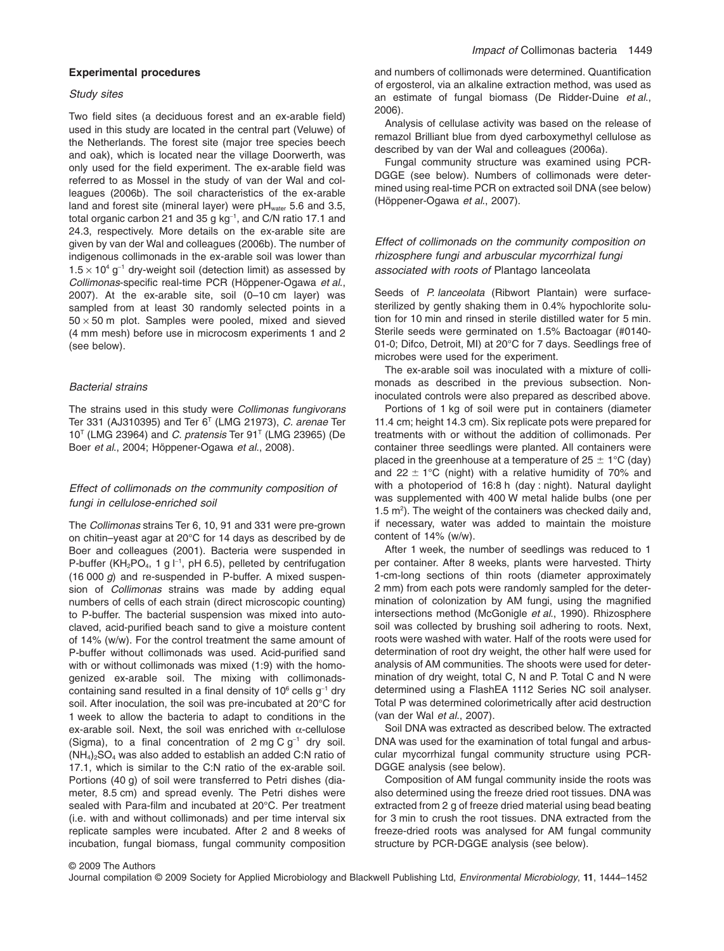# **Experimental procedures**

#### *Study sites*

Two field sites (a deciduous forest and an ex-arable field) used in this study are located in the central part (Veluwe) of the Netherlands. The forest site (major tree species beech and oak), which is located near the village Doorwerth, was only used for the field experiment. The ex-arable field was referred to as Mossel in the study of van der Wal and colleagues (2006b). The soil characteristics of the ex-arable land and forest site (mineral layer) were  $pH_{water}$  5.6 and 3.5, total organic carbon 21 and 35 g kg<sup>-1</sup>, and C/N ratio 17.1 and 24.3, respectively. More details on the ex-arable site are given by van der Wal and colleagues (2006b). The number of indigenous collimonads in the ex-arable soil was lower than  $1.5 \times 10^4$  g<sup>-1</sup> dry-weight soil (detection limit) as assessed by *Collimonas*-specific real-time PCR (Höppener-Ogawa *et al*., 2007). At the ex-arable site, soil (0–10 cm layer) was sampled from at least 30 randomly selected points in a  $50 \times 50$  m plot. Samples were pooled, mixed and sieved (4 mm mesh) before use in microcosm experiments 1 and 2 (see below).

## *Bacterial strains*

The strains used in this study were *Collimonas fungivorans* Ter 331 (AJ310395) and Ter 6T (LMG 21973), *C. arenae* Ter 10T (LMG 23964) and *C. pratensis* Ter 91T (LMG 23965) (De Boer *et al*., 2004; Höppener-Ogawa *et al*., 2008).

# *Effect of collimonads on the community composition of fungi in cellulose-enriched soil*

The *Collimonas* strains Ter 6, 10, 91 and 331 were pre-grown on chitin–yeast agar at 20°C for 14 days as described by de Boer and colleagues (2001). Bacteria were suspended in P-buffer (KH<sub>2</sub>PO<sub>4</sub>, 1 g  $I^{-1}$ , pH 6.5), pelleted by centrifugation (16 000 *g*) and re-suspended in P-buffer. A mixed suspension of *Collimonas* strains was made by adding equal numbers of cells of each strain (direct microscopic counting) to P-buffer. The bacterial suspension was mixed into autoclaved, acid-purified beach sand to give a moisture content of 14% (w/w). For the control treatment the same amount of P-buffer without collimonads was used. Acid-purified sand with or without collimonads was mixed (1:9) with the homogenized ex-arable soil. The mixing with collimonadscontaining sand resulted in a final density of  $10^6$  cells  $g^{-1}$  dry soil. After inoculation, the soil was pre-incubated at 20°C for 1 week to allow the bacteria to adapt to conditions in the ex-arable soil. Next, the soil was enriched with  $\alpha$ -cellulose (Sigma), to a final concentration of  $2 \text{ mg } C \text{ g}^{-1}$  dry soil.  $(NH<sub>4</sub>)<sub>2</sub>SO<sub>4</sub>$  was also added to establish an added C:N ratio of 17.1, which is similar to the C:N ratio of the ex-arable soil. Portions (40 g) of soil were transferred to Petri dishes (diameter, 8.5 cm) and spread evenly. The Petri dishes were sealed with Para-film and incubated at 20°C. Per treatment (i.e. with and without collimonads) and per time interval six replicate samples were incubated. After 2 and 8 weeks of incubation, fungal biomass, fungal community composition and numbers of collimonads were determined. Quantification of ergosterol, via an alkaline extraction method, was used as an estimate of fungal biomass (De Ridder-Duine *et al*., 2006).

Analysis of cellulase activity was based on the release of remazol Brilliant blue from dyed carboxymethyl cellulose as described by van der Wal and colleagues (2006a).

Fungal community structure was examined using PCR-DGGE (see below). Numbers of collimonads were determined using real-time PCR on extracted soil DNA (see below) (Höppener-Ogawa *et al*., 2007).

# *Effect of collimonads on the community composition on rhizosphere fungi and arbuscular mycorrhizal fungi associated with roots of* Plantago lanceolata

Seeds of *P. lanceolata* (Ribwort Plantain) were surfacesterilized by gently shaking them in 0.4% hypochlorite solution for 10 min and rinsed in sterile distilled water for 5 min. Sterile seeds were germinated on 1.5% Bactoagar (#0140- 01-0; Difco, Detroit, MI) at 20°C for 7 days. Seedlings free of microbes were used for the experiment.

The ex-arable soil was inoculated with a mixture of collimonads as described in the previous subsection. Noninoculated controls were also prepared as described above.

Portions of 1 kg of soil were put in containers (diameter 11.4 cm; height 14.3 cm). Six replicate pots were prepared for treatments with or without the addition of collimonads. Per container three seedlings were planted. All containers were placed in the greenhouse at a temperature of 25  $\pm$  1°C (day) and 22  $\pm$  1°C (night) with a relative humidity of 70% and with a photoperiod of 16:8 h (day : night). Natural daylight was supplemented with 400 W metal halide bulbs (one per 1.5 m2 ). The weight of the containers was checked daily and, if necessary, water was added to maintain the moisture content of 14% (w/w).

After 1 week, the number of seedlings was reduced to 1 per container. After 8 weeks, plants were harvested. Thirty 1-cm-long sections of thin roots (diameter approximately 2 mm) from each pots were randomly sampled for the determination of colonization by AM fungi, using the magnified intersections method (McGonigle *et al*., 1990). Rhizosphere soil was collected by brushing soil adhering to roots. Next, roots were washed with water. Half of the roots were used for determination of root dry weight, the other half were used for analysis of AM communities. The shoots were used for determination of dry weight, total C, N and P. Total C and N were determined using a FlashEA 1112 Series NC soil analyser. Total P was determined colorimetrically after acid destruction (van der Wal *et al*., 2007).

Soil DNA was extracted as described below. The extracted DNA was used for the examination of total fungal and arbuscular mycorrhizal fungal community structure using PCR-DGGE analysis (see below).

Composition of AM fungal community inside the roots was also determined using the freeze dried root tissues. DNA was extracted from 2 g of freeze dried material using bead beating for 3 min to crush the root tissues. DNA extracted from the freeze-dried roots was analysed for AM fungal community structure by PCR-DGGE analysis (see below).

© 2009 The Authors Journal compilation © 2009 Society for Applied Microbiology and Blackwell Publishing Ltd, *Environmental Microbiology*, **11**, 1444–1452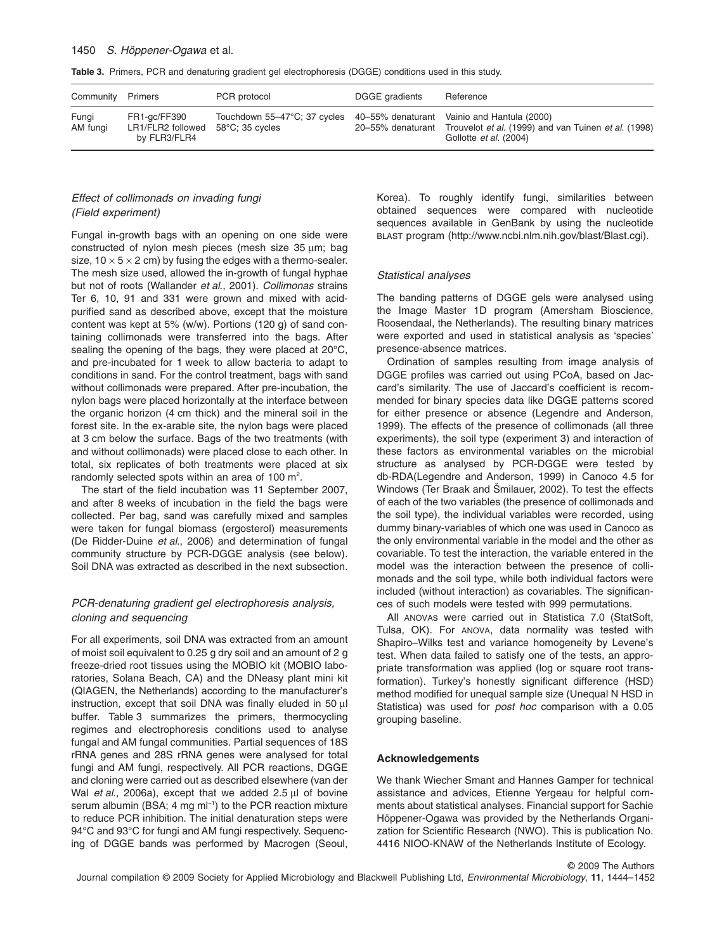## 1450 *S. Höppener-Ogawa* et al.

|  |  |  |  |  |  | Table 3. Primers, PCR and denaturing gradient gel electrophoresis (DGGE) conditions used in this study. |  |  |  |  |  |
|--|--|--|--|--|--|---------------------------------------------------------------------------------------------------------|--|--|--|--|--|
|--|--|--|--|--|--|---------------------------------------------------------------------------------------------------------|--|--|--|--|--|

| Community Primers |                                                   | PCR protocol                                                                                          | DGGE gradients    | Reference                                                                             |
|-------------------|---------------------------------------------------|-------------------------------------------------------------------------------------------------------|-------------------|---------------------------------------------------------------------------------------|
| Fungi<br>AM fungi | FR1-gc/FF390<br>LR1/FLR2 followed<br>by FLR3/FLR4 | Touchdown 55–47°C; 37 cycles 40–55% denaturant Vainio and Hantula (2000)<br>$58^{\circ}$ C: 35 cvcles | 20–55% denaturant | Trouvelot et al. (1999) and van Tuinen et al. (1998)<br>Gollotte <i>et al.</i> (2004) |

# *Effect of collimonads on invading fungi (Field experiment)*

Fungal in-growth bags with an opening on one side were constructed of nylon mesh pieces (mesh size 35 um; bag size,  $10 \times 5 \times 2$  cm) by fusing the edges with a thermo-sealer. The mesh size used, allowed the in-growth of fungal hyphae but not of roots (Wallander *et al*., 2001). *Collimonas* strains Ter 6, 10, 91 and 331 were grown and mixed with acidpurified sand as described above, except that the moisture content was kept at 5% (w/w). Portions (120 g) of sand containing collimonads were transferred into the bags. After sealing the opening of the bags, they were placed at 20°C, and pre-incubated for 1 week to allow bacteria to adapt to conditions in sand. For the control treatment, bags with sand without collimonads were prepared. After pre-incubation, the nylon bags were placed horizontally at the interface between the organic horizon (4 cm thick) and the mineral soil in the forest site. In the ex-arable site, the nylon bags were placed at 3 cm below the surface. Bags of the two treatments (with and without collimonads) were placed close to each other. In total, six replicates of both treatments were placed at six randomly selected spots within an area of 100  $m^2$ .

The start of the field incubation was 11 September 2007, and after 8 weeks of incubation in the field the bags were collected. Per bag, sand was carefully mixed and samples were taken for fungal biomass (ergosterol) measurements (De Ridder-Duine *et al*., 2006) and determination of fungal community structure by PCR-DGGE analysis (see below). Soil DNA was extracted as described in the next subsection.

# *PCR-denaturing gradient gel electrophoresis analysis, cloning and sequencing*

For all experiments, soil DNA was extracted from an amount of moist soil equivalent to 0.25 g dry soil and an amount of 2 g freeze-dried root tissues using the MOBIO kit (MOBIO laboratories, Solana Beach, CA) and the DNeasy plant mini kit (QIAGEN, the Netherlands) according to the manufacturer's instruction, except that soil DNA was finally eluded in 50 µl buffer. Table 3 summarizes the primers, thermocycling regimes and electrophoresis conditions used to analyse fungal and AM fungal communities. Partial sequences of 18S rRNA genes and 28S rRNA genes were analysed for total fungi and AM fungi, respectively. All PCR reactions, DGGE and cloning were carried out as described elsewhere (van der Wal *et al.*, 2006a), except that we added 2.5 µl of bovine serum albumin (BSA; 4 mg ml<sup>-1</sup>) to the PCR reaction mixture to reduce PCR inhibition. The initial denaturation steps were 94°C and 93°C for fungi and AM fungi respectively. Sequencing of DGGE bands was performed by Macrogen (Seoul,

Korea). To roughly identify fungi, similarities between obtained sequences were compared with nucleotide sequences available in GenBank by using the nucleotide BLAST program [\(http://www.ncbi.nlm.nih.gov/blast/Blast.cgi\)](http://www.ncbi.nlm.nih.gov/blast/Blast.cgi).

# *Statistical analyses*

The banding patterns of DGGE gels were analysed using the Image Master 1D program (Amersham Bioscience, Roosendaal, the Netherlands). The resulting binary matrices were exported and used in statistical analysis as 'species' presence-absence matrices.

Ordination of samples resulting from image analysis of DGGE profiles was carried out using PCoA, based on Jaccard's similarity. The use of Jaccard's coefficient is recommended for binary species data like DGGE patterns scored for either presence or absence (Legendre and Anderson, 1999). The effects of the presence of collimonads (all three experiments), the soil type (experiment 3) and interaction of these factors as environmental variables on the microbial structure as analysed by PCR-DGGE were tested by db-RDA(Legendre and Anderson, 1999) in Canoco 4.5 for Windows (Ter Braak and Šmilauer, 2002). To test the effects of each of the two variables (the presence of collimonads and the soil type), the individual variables were recorded, using dummy binary-variables of which one was used in Canoco as the only environmental variable in the model and the other as covariable. To test the interaction, the variable entered in the model was the interaction between the presence of collimonads and the soil type, while both individual factors were included (without interaction) as covariables. The significances of such models were tested with 999 permutations.

All ANOVAs were carried out in Statistica 7.0 (StatSoft, Tulsa, OK). For ANOVA, data normality was tested with Shapiro–Wilks test and variance homogeneity by Levene's test. When data failed to satisfy one of the tests, an appropriate transformation was applied (log or square root transformation). Turkey's honestly significant difference (HSD) method modified for unequal sample size (Unequal N HSD in Statistica) was used for *post hoc* comparison with a 0.05 grouping baseline.

#### **Acknowledgements**

We thank Wiecher Smant and Hannes Gamper for technical assistance and advices, Etienne Yergeau for helpful comments about statistical analyses. Financial support for Sachie Höppener-Ogawa was provided by the Netherlands Organization for Scientific Research (NWO). This is publication No. 4416 NIOO-KNAW of the Netherlands Institute of Ecology.

© 2009 The Authors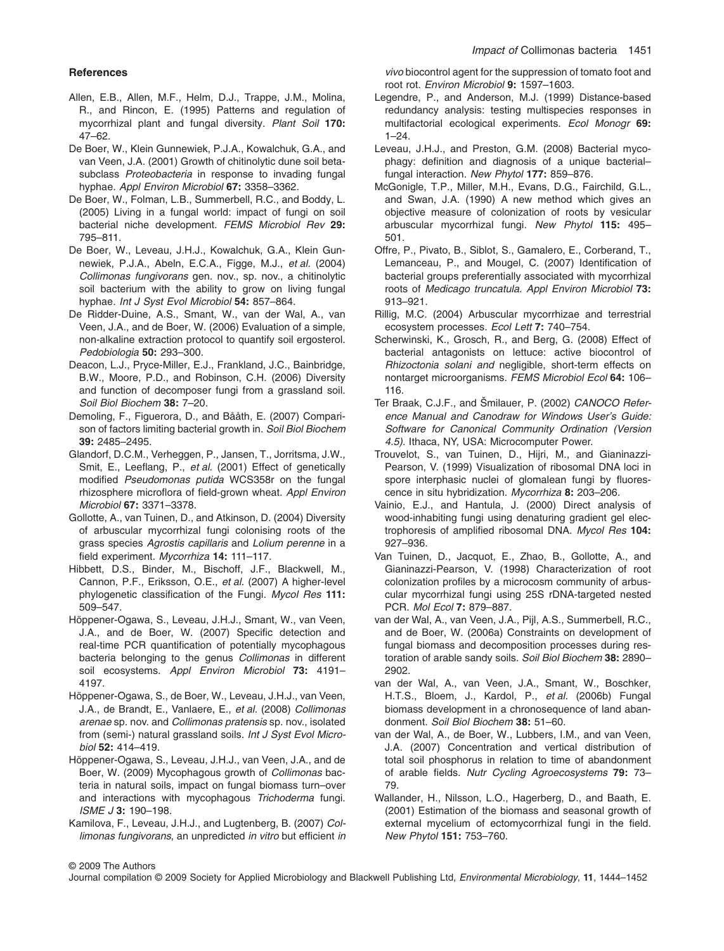## **References**

- Allen, E.B., Allen, M.F., Helm, D.J., Trappe, J.M., Molina, R., and Rincon, E. (1995) Patterns and regulation of mycorrhizal plant and fungal diversity. *Plant Soil* **170:** 47–62.
- De Boer, W., Klein Gunnewiek, P.J.A., Kowalchuk, G.A., and van Veen, J.A. (2001) Growth of chitinolytic dune soil betasubclass *Proteobacteria* in response to invading fungal hyphae. *Appl Environ Microbiol* **67:** 3358–3362.
- De Boer, W., Folman, L.B., Summerbell, R.C., and Boddy, L. (2005) Living in a fungal world: impact of fungi on soil bacterial niche development. *FEMS Microbiol Rev* **29:** 795–811.
- De Boer, W., Leveau, J.H.J., Kowalchuk, G.A., Klein Gunnewiek, P.J.A., Abeln, E.C.A., Figge, M.J., *et al.* (2004) *Collimonas fungivorans* gen. nov., sp. nov., a chitinolytic soil bacterium with the ability to grow on living fungal hyphae. *Int J Syst Evol Microbiol* **54:** 857–864.
- De Ridder-Duine, A.S., Smant, W., van der Wal, A., van Veen, J.A., and de Boer, W. (2006) Evaluation of a simple, non-alkaline extraction protocol to quantify soil ergosterol. *Pedobiologia* **50:** 293–300.
- Deacon, L.J., Pryce-Miller, E.J., Frankland, J.C., Bainbridge, B.W., Moore, P.D., and Robinson, C.H. (2006) Diversity and function of decomposer fungi from a grassland soil. *Soil Biol Biochem* **38:** 7–20.
- Demoling, F., Figuerora, D., and Bååth, E. (2007) Comparison of factors limiting bacterial growth in. *Soil Biol Biochem* **39:** 2485–2495.
- Glandorf, D.C.M., Verheggen, P., Jansen, T., Jorritsma, J.W., Smit, E., Leeflang, P., *et al.* (2001) Effect of genetically modified *Pseudomonas putida* WCS358r on the fungal rhizosphere microflora of field-grown wheat. *Appl Environ Microbiol* **67:** 3371–3378.
- Gollotte, A., van Tuinen, D., and Atkinson, D. (2004) Diversity of arbuscular mycorrhizal fungi colonising roots of the grass species *Agrostis capillaris* and *Lolium perenne* in a field experiment. *Mycorrhiza* **14:** 111–117.
- Hibbett, D.S., Binder, M., Bischoff, J.F., Blackwell, M., Cannon, P.F., Eriksson, O.E., *et al.* (2007) A higher-level phylogenetic classification of the Fungi. *Mycol Res* **111:** 509–547.
- Höppener-Ogawa, S., Leveau, J.H.J., Smant, W., van Veen, J.A., and de Boer, W. (2007) Specific detection and real-time PCR quantification of potentially mycophagous bacteria belonging to the genus *Collimonas* in different soil ecosystems. *Appl Environ Microbiol* **73:** 4191– 4197.
- Höppener-Ogawa, S., de Boer, W., Leveau, J.H.J., van Veen, J.A., de Brandt, E., Vanlaere, E., *et al.* (2008) *Collimonas arenae* sp. nov. and *Collimonas pratensis* sp. nov., isolated from (semi-) natural grassland soils. *Int J Syst Evol Microbiol* **52:** 414–419.
- Höppener-Ogawa, S., Leveau, J.H.J., van Veen, J.A., and de Boer, W. (2009) Mycophagous growth of *Collimonas* bacteria in natural soils, impact on fungal biomass turn–over and interactions with mycophagous *Trichoderma* fungi. *ISME J* **3:** 190–198.
- Kamilova, F., Leveau, J.H.J., and Lugtenberg, B. (2007) *Collimonas fungivorans*, an unpredicted *in vitro* but efficient *in*

*vivo* biocontrol agent for the suppression of tomato foot and root rot. *Environ Microbiol* **9:** 1597–1603.

- Legendre, P., and Anderson, M.J. (1999) Distance-based redundancy analysis: testing multispecies responses in multifactorial ecological experiments. *Ecol Monogr* **69:** 1–24.
- Leveau, J.H.J., and Preston, G.M. (2008) Bacterial mycophagy: definition and diagnosis of a unique bacterial– fungal interaction. *New Phytol* **177:** 859–876.
- McGonigle, T.P., Miller, M.H., Evans, D.G., Fairchild, G.L., and Swan, J.A. (1990) A new method which gives an objective measure of colonization of roots by vesicular arbuscular mycorrhizal fungi. *New Phytol* **115:** 495– 501.
- Offre, P., Pivato, B., Siblot, S., Gamalero, E., Corberand, T., Lemanceau, P., and Mougel, C. (2007) Identification of bacterial groups preferentially associated with mycorrhizal roots of *Medicago truncatula*. *Appl Environ Microbiol* **73:** 913–921.
- Rillig, M.C. (2004) Arbuscular mycorrhizae and terrestrial ecosystem processes. *Ecol Lett* **7:** 740–754.
- Scherwinski, K., Grosch, R., and Berg, G. (2008) Effect of bacterial antagonists on lettuce: active biocontrol of *Rhizoctonia solani and* negligible, short-term effects on nontarget microorganisms. *FEMS Microbiol Ecol* **64:** 106– 116.
- Ter Braak, C.J.F., and Šmilauer, P. (2002) *CANOCO Reference Manual and Canodraw for Windows User's Guide: Software for Canonical Community Ordination (Version 4.5)*. Ithaca, NY, USA: Microcomputer Power.
- Trouvelot, S., van Tuinen, D., Hijri, M., and Gianinazzi-Pearson, V. (1999) Visualization of ribosomal DNA loci in spore interphasic nuclei of glomalean fungi by fluorescence in situ hybridization. *Mycorrhiza* **8:** 203–206.
- Vainio, E.J., and Hantula, J. (2000) Direct analysis of wood-inhabiting fungi using denaturing gradient gel electrophoresis of amplified ribosomal DNA. *Mycol Res* **104:** 927–936.
- Van Tuinen, D., Jacquot, E., Zhao, B., Gollotte, A., and Gianinazzi-Pearson, V. (1998) Characterization of root colonization profiles by a microcosm community of arbuscular mycorrhizal fungi using 25S rDNA-targeted nested PCR. *Mol Ecol* **7:** 879–887.
- van der Wal, A., van Veen, J.A., Pijl, A.S., Summerbell, R.C., and de Boer, W. (2006a) Constraints on development of fungal biomass and decomposition processes during restoration of arable sandy soils. *Soil Biol Biochem* **38:** 2890– 2902.
- van der Wal, A., van Veen, J.A., Smant, W., Boschker, H.T.S., Bloem, J., Kardol, P., *et al.* (2006b) Fungal biomass development in a chronosequence of land abandonment. *Soil Biol Biochem* **38:** 51–60.
- van der Wal, A., de Boer, W., Lubbers, I.M., and van Veen, J.A. (2007) Concentration and vertical distribution of total soil phosphorus in relation to time of abandonment of arable fields. *Nutr Cycling Agroecosystems* **79:** 73– 79.
- Wallander, H., Nilsson, L.O., Hagerberg, D., and Baath, E. (2001) Estimation of the biomass and seasonal growth of external mycelium of ectomycorrhizal fungi in the field. *New Phytol* **151:** 753–760.

Journal compilation © 2009 Society for Applied Microbiology and Blackwell Publishing Ltd, *Environmental Microbiology*, **11**, 1444–1452

<sup>© 2009</sup> The Authors